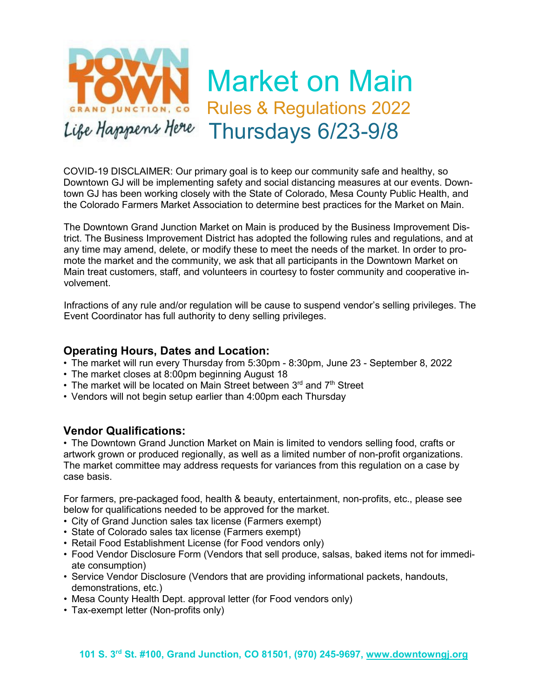

COVID-19 DISCLAIMER: Our primary goal is to keep our community safe and healthy, so Downtown GJ will be implementing safety and social distancing measures at our events. Downtown GJ has been working closely with the State of Colorado, Mesa County Public Health, and the Colorado Farmers Market Association to determine best practices for the Market on Main.

The Downtown Grand Junction Market on Main is produced by the Business Improvement District. The Business Improvement District has adopted the following rules and regulations, and at any time may amend, delete, or modify these to meet the needs of the market. In order to promote the market and the community, we ask that all participants in the Downtown Market on Main treat customers, staff, and volunteers in courtesy to foster community and cooperative involvement.

Infractions of any rule and/or regulation will be cause to suspend vendor's selling privileges. The Event Coordinator has full authority to deny selling privileges.

#### **Operating Hours, Dates and Location:**

- The market will run every Thursday from 5:30pm 8:30pm, June 23 September 8, 2022
- The market closes at 8:00pm beginning August 18
- The market will be located on Main Street between  $3<sup>rd</sup>$  and  $7<sup>th</sup>$  Street
- Vendors will not begin setup earlier than 4:00pm each Thursday

#### **Vendor Qualifications:**

• The Downtown Grand Junction Market on Main is limited to vendors selling food, crafts or artwork grown or produced regionally, as well as a limited number of non-profit organizations. The market committee may address requests for variances from this regulation on a case by case basis.

For farmers, pre-packaged food, health & beauty, entertainment, non-profits, etc., please see below for qualifications needed to be approved for the market.

- City of Grand Junction sales tax license (Farmers exempt)
- State of Colorado sales tax license (Farmers exempt)
- Retail Food Establishment License (for Food vendors only)
- Food Vendor Disclosure Form (Vendors that sell produce, salsas, baked items not for immediate consumption)
- Service Vendor Disclosure (Vendors that are providing informational packets, handouts, demonstrations, etc.)
- Mesa County Health Dept. approval letter (for Food vendors only)
- Tax-exempt letter (Non-profits only)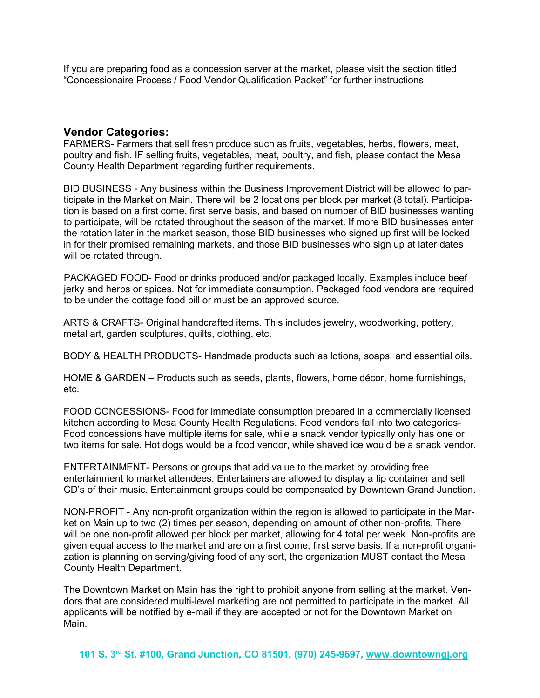If you are preparing food as a concession server at the market, please visit the section titled "Concessionaire Process / Food Vendor Qualification Packet" for further instructions.

#### **Vendor Categories:**

FARMERS- Farmers that sell fresh produce such as fruits, vegetables, herbs, flowers, meat, poultry and fish. IF selling fruits, vegetables, meat, poultry, and fish, please contact the Mesa County Health Department regarding further requirements.

BID BUSINESS - Any business within the Business Improvement District will be allowed to participate in the Market on Main. There will be 2 locations per block per market (8 total). Participation is based on a first come, first serve basis, and based on number of BID businesses wanting to participate, will be rotated throughout the season of the market. If more BID businesses enter the rotation later in the market season, those BID businesses who signed up first will be locked in for their promised remaining markets, and those BID businesses who sign up at later dates will be rotated through.

PACKAGED FOOD- Food or drinks produced and/or packaged locally. Examples include beef jerky and herbs or spices. Not for immediate consumption. Packaged food vendors are required to be under the cottage food bill or must be an approved source.

ARTS & CRAFTS- Original handcrafted items. This includes jewelry, woodworking, pottery, metal art, garden sculptures, quilts, clothing, etc.

BODY & HEALTH PRODUCTS- Handmade products such as lotions, soaps, and essential oils.

HOME & GARDEN – Products such as seeds, plants, flowers, home décor, home furnishings, etc.

FOOD CONCESSIONS- Food for immediate consumption prepared in a commercially licensed kitchen according to Mesa County Health Regulations. Food vendors fall into two categories-Food concessions have multiple items for sale, while a snack vendor typically only has one or two items for sale. Hot dogs would be a food vendor, while shaved ice would be a snack vendor.

ENTERTAINMENT- Persons or groups that add value to the market by providing free entertainment to market attendees. Entertainers are allowed to display a tip container and sell CD's of their music. Entertainment groups could be compensated by Downtown Grand Junction.

NON-PROFIT - Any non-profit organization within the region is allowed to participate in the Market on Main up to two (2) times per season, depending on amount of other non-profits. There will be one non-profit allowed per block per market, allowing for 4 total per week. Non-profits are given equal access to the market and are on a first come, first serve basis. If a non-profit organization is planning on serving/giving food of any sort, the organization MUST contact the Mesa County Health Department.

The Downtown Market on Main has the right to prohibit anyone from selling at the market. Vendors that are considered multi-level marketing are not permitted to participate in the market. All applicants will be notified by e-mail if they are accepted or not for the Downtown Market on Main.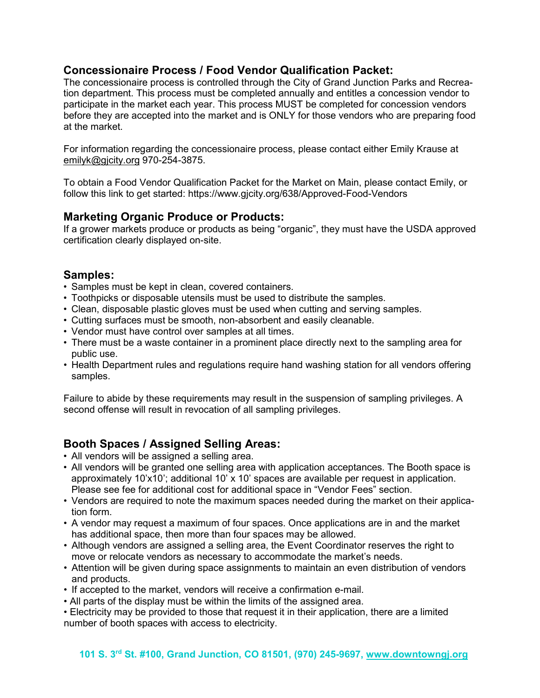# **Concessionaire Process / Food Vendor Qualification Packet:**

The concessionaire process is controlled through the City of Grand Junction Parks and Recreation department. This process must be completed annually and entitles a concession vendor to participate in the market each year. This process MUST be completed for concession vendors before they are accepted into the market and is ONLY for those vendors who are preparing food at the market.

For information regarding the concessionaire process, please contact either Emily Krause at [emilyk@gjcity.org](mailto:vickib@gjcity.org) 970-254-3875.

To obtain a Food Vendor Qualification Packet for the Market on Main, please contact Emily, or follow this link to get started: https://www.gjcity.org/638/Approved-Food-Vendors

### **Marketing Organic Produce or Products:**

If a grower markets produce or products as being "organic", they must have the USDA approved certification clearly displayed on-site.

#### **Samples:**

- Samples must be kept in clean, covered containers.
- Toothpicks or disposable utensils must be used to distribute the samples.
- Clean, disposable plastic gloves must be used when cutting and serving samples.
- Cutting surfaces must be smooth, non-absorbent and easily cleanable.
- Vendor must have control over samples at all times.
- There must be a waste container in a prominent place directly next to the sampling area for public use.
- Health Department rules and regulations require hand washing station for all vendors offering samples.

Failure to abide by these requirements may result in the suspension of sampling privileges. A second offense will result in revocation of all sampling privileges.

# **Booth Spaces / Assigned Selling Areas:**

- All vendors will be assigned a selling area.
- All vendors will be granted one selling area with application acceptances. The Booth space is approximately 10'x10'; additional 10' x 10' spaces are available per request in application. Please see fee for additional cost for additional space in "Vendor Fees" section.
- Vendors are required to note the maximum spaces needed during the market on their application form.
- A vendor may request a maximum of four spaces. Once applications are in and the market has additional space, then more than four spaces may be allowed.
- Although vendors are assigned a selling area, the Event Coordinator reserves the right to move or relocate vendors as necessary to accommodate the market's needs.
- Attention will be given during space assignments to maintain an even distribution of vendors and products.
- If accepted to the market, vendors will receive a confirmation e-mail.
- All parts of the display must be within the limits of the assigned area.
- Electricity may be provided to those that request it in their application, there are a limited number of booth spaces with access to electricity.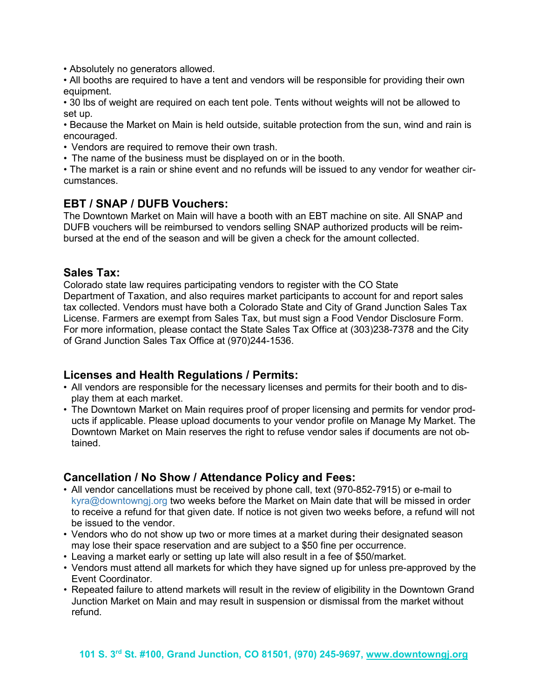• Absolutely no generators allowed.

• All booths are required to have a tent and vendors will be responsible for providing their own equipment.

• 30 lbs of weight are required on each tent pole. Tents without weights will not be allowed to set up.

• Because the Market on Main is held outside, suitable protection from the sun, wind and rain is encouraged.

• Vendors are required to remove their own trash.

• The name of the business must be displayed on or in the booth.

• The market is a rain or shine event and no refunds will be issued to any vendor for weather circumstances.

### **EBT / SNAP / DUFB Vouchers:**

The Downtown Market on Main will have a booth with an EBT machine on site. All SNAP and DUFB vouchers will be reimbursed to vendors selling SNAP authorized products will be reimbursed at the end of the season and will be given a check for the amount collected.

#### **Sales Tax:**

Colorado state law requires participating vendors to register with the CO State Department of Taxation, and also requires market participants to account for and report sales tax collected. Vendors must have both a Colorado State and City of Grand Junction Sales Tax License. Farmers are exempt from Sales Tax, but must sign a Food Vendor Disclosure Form. For more information, please contact the State Sales Tax Office at (303)238-7378 and the City of Grand Junction Sales Tax Office at (970)244-1536.

# **Licenses and Health Regulations / Permits:**

- All vendors are responsible for the necessary licenses and permits for their booth and to display them at each market.
- The Downtown Market on Main requires proof of proper licensing and permits for vendor products if applicable. Please upload documents to your vendor profile on Manage My Market. The Downtown Market on Main reserves the right to refuse vendor sales if documents are not obtained.

### **Cancellation / No Show / Attendance Policy and Fees:**

- All vendor cancellations must be received by phone call, text (970-852-7915) or e-mail to [kyra@downtowngj.org](mailto:caitlyn@downtowngj.org) two weeks before the Market on Main date that will be missed in order to receive a refund for that given date. If notice is not given two weeks before, a refund will not be issued to the vendor.
- Vendors who do not show up two or more times at a market during their designated season may lose their space reservation and are subject to a \$50 fine per occurrence.
- Leaving a market early or setting up late will also result in a fee of \$50/market.
- Vendors must attend all markets for which they have signed up for unless pre-approved by the Event Coordinator.
- Repeated failure to attend markets will result in the review of eligibility in the Downtown Grand Junction Market on Main and may result in suspension or dismissal from the market without refund.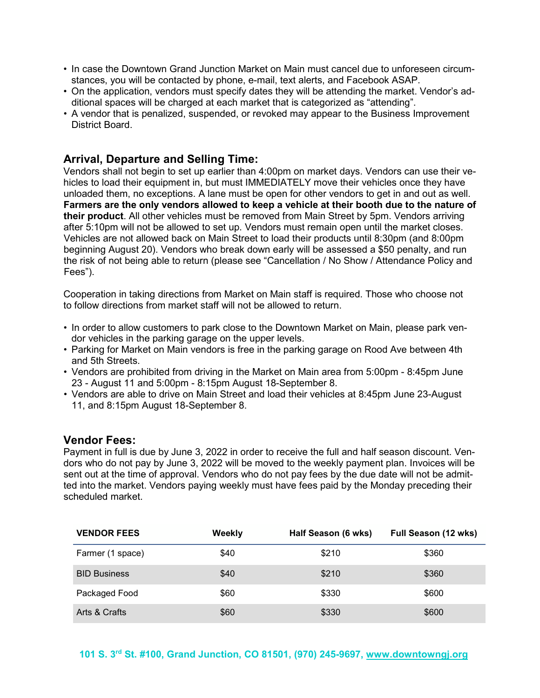- In case the Downtown Grand Junction Market on Main must cancel due to unforeseen circumstances, you will be contacted by phone, e-mail, text alerts, and Facebook ASAP.
- On the application, vendors must specify dates they will be attending the market. Vendor's additional spaces will be charged at each market that is categorized as "attending".
- A vendor that is penalized, suspended, or revoked may appear to the Business Improvement District Board.

#### **Arrival, Departure and Selling Time:**

Vendors shall not begin to set up earlier than 4:00pm on market days. Vendors can use their vehicles to load their equipment in, but must IMMEDIATELY move their vehicles once they have unloaded them, no exceptions. A lane must be open for other vendors to get in and out as well. **Farmers are the only vendors allowed to keep a vehicle at their booth due to the nature of their product**. All other vehicles must be removed from Main Street by 5pm. Vendors arriving after 5:10pm will not be allowed to set up. Vendors must remain open until the market closes. Vehicles are not allowed back on Main Street to load their products until 8:30pm (and 8:00pm beginning August 20). Vendors who break down early will be assessed a \$50 penalty, and run the risk of not being able to return (please see "Cancellation / No Show / Attendance Policy and Fees").

Cooperation in taking directions from Market on Main staff is required. Those who choose not to follow directions from market staff will not be allowed to return.

- In order to allow customers to park close to the Downtown Market on Main, please park vendor vehicles in the parking garage on the upper levels.
- Parking for Market on Main vendors is free in the parking garage on Rood Ave between 4th and 5th Streets.
- Vendors are prohibited from driving in the Market on Main area from 5:00pm 8:45pm June 23 - August 11 and 5:00pm - 8:15pm August 18-September 8.
- Vendors are able to drive on Main Street and load their vehicles at 8:45pm June 23-August 11, and 8:15pm August 18-September 8.

#### **Vendor Fees:**

Payment in full is due by June 3, 2022 in order to receive the full and half season discount. Vendors who do not pay by June 3, 2022 will be moved to the weekly payment plan. Invoices will be sent out at the time of approval. Vendors who do not pay fees by the due date will not be admitted into the market. Vendors paying weekly must have fees paid by the Monday preceding their scheduled market.

| <b>VENDOR FEES</b>  | Weekly | Half Season (6 wks) | Full Season (12 wks) |
|---------------------|--------|---------------------|----------------------|
| Farmer (1 space)    | \$40   | \$210               | \$360                |
| <b>BID Business</b> | \$40   | \$210               | \$360                |
| Packaged Food       | \$60   | \$330               | \$600                |
| Arts & Crafts       | \$60   | \$330               | \$600                |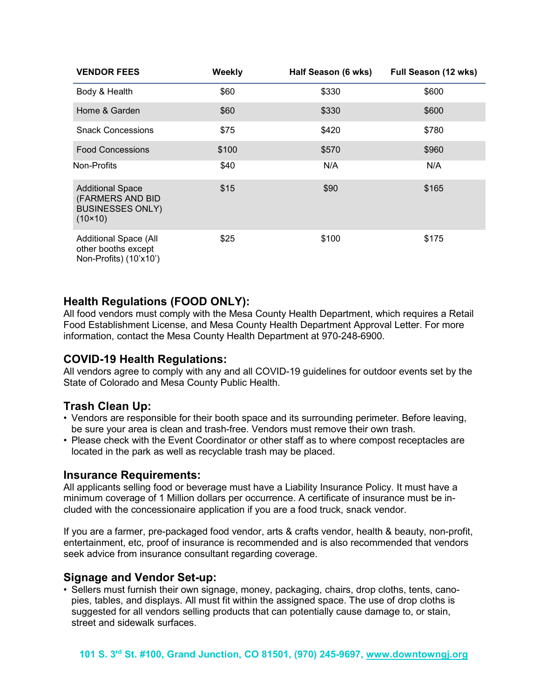| <b>VENDOR FEES</b>                                                                         | Weekly | Half Season (6 wks) | Full Season (12 wks) |
|--------------------------------------------------------------------------------------------|--------|---------------------|----------------------|
| Body & Health                                                                              | \$60   | \$330               | \$600                |
| Home & Garden                                                                              | \$60   | \$330               | \$600                |
| <b>Snack Concessions</b>                                                                   | \$75   | \$420               | \$780                |
| <b>Food Concessions</b>                                                                    | \$100  | \$570               | \$960                |
| Non-Profits                                                                                | \$40   | N/A                 | N/A                  |
| <b>Additional Space</b><br>(FARMERS AND BID<br><b>BUSINESSES ONLY)</b><br>$(10 \times 10)$ | \$15   | \$90                | \$165                |
| Additional Space (All<br>other booths except<br>Non-Profits) (10'x10')                     | \$25   | \$100               | \$175                |

# **Health Regulations (FOOD ONLY):**

All food vendors must comply with the Mesa County Health Department, which requires a Retail Food Establishment License, and Mesa County Health Department Approval Letter. For more information, contact the Mesa County Health Department at 970-248-6900.

# **COVID-19 Health Regulations:**

All vendors agree to comply with any and all COVID-19 guidelines for outdoor events set by the State of Colorado and Mesa County Public Health.

# **Trash Clean Up:**

- Vendors are responsible for their booth space and its surrounding perimeter. Before leaving, be sure your area is clean and trash-free. Vendors must remove their own trash.
- Please check with the Event Coordinator or other staff as to where compost receptacles are located in the park as well as recyclable trash may be placed.

#### **Insurance Requirements:**

All applicants selling food or beverage must have a Liability Insurance Policy. It must have a minimum coverage of 1 Million dollars per occurrence. A certificate of insurance must be included with the concessionaire application if you are a food truck, snack vendor.

If you are a farmer, pre-packaged food vendor, arts & crafts vendor, health & beauty, non-profit, entertainment, etc, proof of insurance is recommended and is also recommended that vendors seek advice from insurance consultant regarding coverage.

# **Signage and Vendor Set-up:**

• Sellers must furnish their own signage, money, packaging, chairs, drop cloths, tents, canopies, tables, and displays. All must fit within the assigned space. The use of drop cloths is suggested for all vendors selling products that can potentially cause damage to, or stain, street and sidewalk surfaces.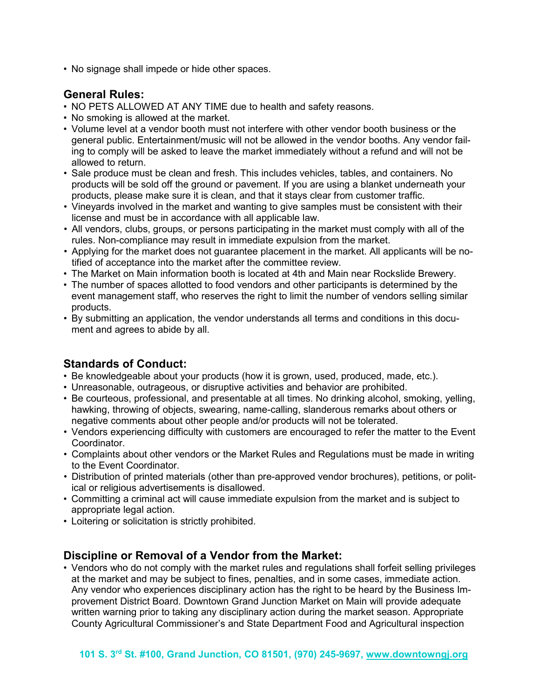• No signage shall impede or hide other spaces.

# **General Rules:**

- NO PETS ALLOWED AT ANY TIME due to health and safety reasons.
- No smoking is allowed at the market.
- Volume level at a vendor booth must not interfere with other vendor booth business or the general public. Entertainment/music will not be allowed in the vendor booths. Any vendor failing to comply will be asked to leave the market immediately without a refund and will not be allowed to return.
- Sale produce must be clean and fresh. This includes vehicles, tables, and containers. No products will be sold off the ground or pavement. If you are using a blanket underneath your products, please make sure it is clean, and that it stays clear from customer traffic.
- Vineyards involved in the market and wanting to give samples must be consistent with their license and must be in accordance with all applicable law.
- All vendors, clubs, groups, or persons participating in the market must comply with all of the rules. Non-compliance may result in immediate expulsion from the market.
- Applying for the market does not guarantee placement in the market. All applicants will be notified of acceptance into the market after the committee review.
- The Market on Main information booth is located at 4th and Main near Rockslide Brewery.
- The number of spaces allotted to food vendors and other participants is determined by the event management staff, who reserves the right to limit the number of vendors selling similar products.
- By submitting an application, the vendor understands all terms and conditions in this document and agrees to abide by all.

# **Standards of Conduct:**

- Be knowledgeable about your products (how it is grown, used, produced, made, etc.).
- Unreasonable, outrageous, or disruptive activities and behavior are prohibited.
- Be courteous, professional, and presentable at all times. No drinking alcohol, smoking, yelling, hawking, throwing of objects, swearing, name-calling, slanderous remarks about others or negative comments about other people and/or products will not be tolerated.
- Vendors experiencing difficulty with customers are encouraged to refer the matter to the Event **Coordinator**
- Complaints about other vendors or the Market Rules and Regulations must be made in writing to the Event Coordinator.
- Distribution of printed materials (other than pre-approved vendor brochures), petitions, or political or religious advertisements is disallowed.
- Committing a criminal act will cause immediate expulsion from the market and is subject to appropriate legal action.
- Loitering or solicitation is strictly prohibited.

#### **Discipline or Removal of a Vendor from the Market:**

• Vendors who do not comply with the market rules and regulations shall forfeit selling privileges at the market and may be subject to fines, penalties, and in some cases, immediate action. Any vendor who experiences disciplinary action has the right to be heard by the Business Improvement District Board. Downtown Grand Junction Market on Main will provide adequate written warning prior to taking any disciplinary action during the market season. Appropriate County Agricultural Commissioner's and State Department Food and Agricultural inspection